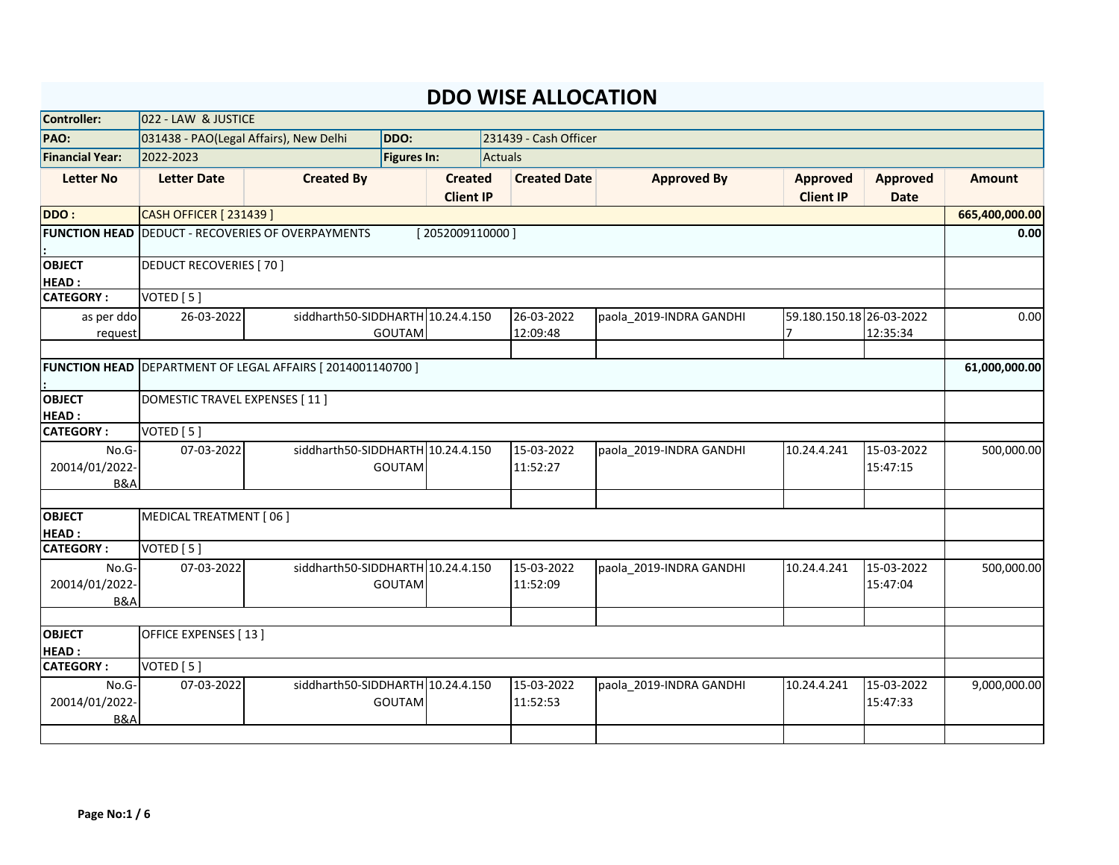| Controller:                               | 022 - LAW & JUSTICE           |                                                          |                    |                                    |                                      |                         |                                            |                                |                |
|-------------------------------------------|-------------------------------|----------------------------------------------------------|--------------------|------------------------------------|--------------------------------------|-------------------------|--------------------------------------------|--------------------------------|----------------|
| PAO:                                      |                               | 031438 - PAO(Legal Affairs), New Delhi                   | DDO:               |                                    | 231439 - Cash Officer                |                         |                                            |                                |                |
| <b>Financial Year:</b>                    | 2022-2023                     |                                                          | <b>Figures In:</b> |                                    | Actuals                              |                         |                                            |                                |                |
| <b>Letter No</b>                          | <b>Letter Date</b>            | <b>Created By</b>                                        |                    | <b>Created</b><br><b>Client IP</b> | <b>Created Date</b>                  | <b>Approved By</b>      | <b>Approved</b><br><b>Client IP</b>        | <b>Approved</b><br><b>Date</b> | <b>Amount</b>  |
| DDO:                                      | <b>CASH OFFICER [231439]</b>  |                                                          |                    |                                    |                                      |                         |                                            |                                | 665,400,000.00 |
|                                           |                               | <b>FUNCTION HEAD</b> DEDUCT - RECOVERIES OF OVERPAYMENTS |                    | [2052009110000]                    |                                      |                         |                                            |                                | 0.00           |
| <b>OBJECT</b><br><b>HEAD:</b>             | <b>DEDUCT RECOVERIES [70]</b> |                                                          |                    |                                    |                                      |                         |                                            |                                |                |
| <b>CATEGORY:</b>                          | VOTED [5]                     |                                                          |                    |                                    |                                      |                         |                                            |                                |                |
| as per ddo<br>request                     | 26-03-2022                    | siddharth50-SIDDHARTH 10.24.4.150                        | <b>GOUTAM</b>      |                                    | $\overline{26}$ -03-2022<br>12:09:48 | paola_2019-INDRA GANDHI | 59.180.150.18 26-03-2022<br>$\overline{7}$ | 12:35:34                       | 0.00           |
| <b>FUNCTION HEAD</b>                      |                               | DEPARTMENT OF LEGAL AFFAIRS [ 2014001140700 ]            |                    |                                    |                                      |                         |                                            |                                | 61,000,000.00  |
| <b>OBJECT</b><br><b>HEAD:</b>             | DOMESTIC TRAVEL EXPENSES [11] |                                                          |                    |                                    |                                      |                         |                                            |                                |                |
| <b>CATEGORY:</b>                          | VOTED [5]                     |                                                          |                    |                                    |                                      |                         |                                            |                                |                |
| No.G-<br>20014/01/2022-<br><b>B&amp;A</b> | 07-03-2022                    | siddharth50-SIDDHARTH 10.24.4.150                        | <b>GOUTAM</b>      |                                    | 15-03-2022<br>11:52:27               | paola_2019-INDRA GANDHI | 10.24.4.241                                | 15-03-2022<br>15:47:15         | 500,000.00     |
| <b>OBJECT</b>                             | MEDICAL TREATMENT [06]        |                                                          |                    |                                    |                                      |                         |                                            |                                |                |
| <b>HEAD:</b>                              |                               |                                                          |                    |                                    |                                      |                         |                                            |                                |                |
| <b>CATEGORY:</b>                          | VOTED [5]                     | siddharth50-SIDDHARTH 10.24.4.150                        |                    |                                    | 15-03-2022                           |                         |                                            |                                |                |
| No.G-<br>20014/01/2022-<br><b>B&amp;A</b> | 07-03-2022                    |                                                          | <b>GOUTAM</b>      |                                    | 11:52:09                             | paola_2019-INDRA GANDHI | 10.24.4.241                                | 15-03-2022<br>15:47:04         | 500,000.00     |
|                                           |                               |                                                          |                    |                                    |                                      |                         |                                            |                                |                |
| <b>OBJECT</b><br><b>HEAD:</b>             | OFFICE EXPENSES [13]          |                                                          |                    |                                    |                                      |                         |                                            |                                |                |
| <b>CATEGORY:</b>                          | VOTED [5]                     |                                                          |                    |                                    |                                      |                         |                                            |                                |                |
| No.G-<br>20014/01/2022-<br><b>B&amp;A</b> | 07-03-2022                    | siddharth50-SIDDHARTH 10.24.4.150                        | <b>GOUTAM</b>      |                                    | 15-03-2022<br>11:52:53               | paola 2019-INDRA GANDHI | 10.24.4.241                                | 15-03-2022<br>15:47:33         | 9,000,000.00   |
|                                           |                               |                                                          |                    |                                    |                                      |                         |                                            |                                |                |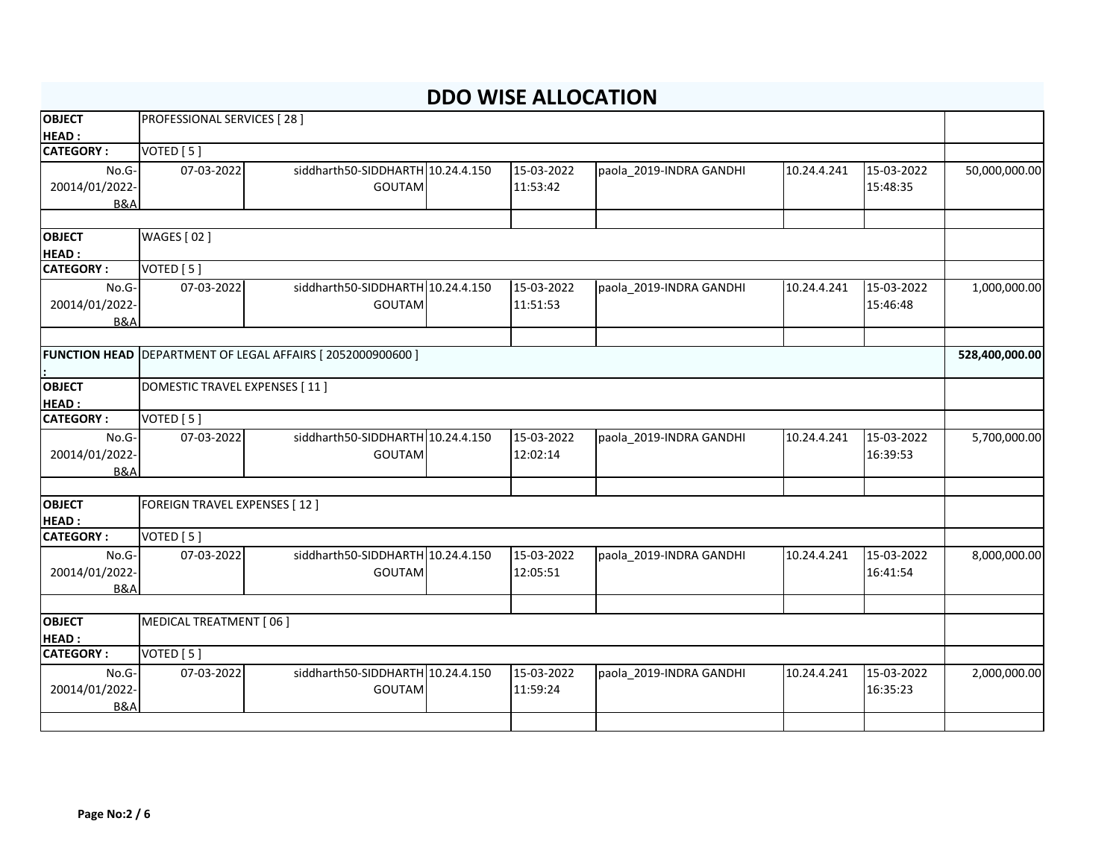| <b>OBJECT</b>                    | PROFESSIONAL SERVICES [28]           |                                                                  |  |            |                         |             |            |                |  |
|----------------------------------|--------------------------------------|------------------------------------------------------------------|--|------------|-------------------------|-------------|------------|----------------|--|
| <b>HEAD:</b><br><b>CATEGORY:</b> | VOTED [5]                            |                                                                  |  |            |                         |             |            |                |  |
|                                  |                                      |                                                                  |  |            |                         |             |            |                |  |
| No.G-                            | 07-03-2022                           | siddharth50-SIDDHARTH 10.24.4.150                                |  | 15-03-2022 | paola_2019-INDRA GANDHI | 10.24.4.241 | 15-03-2022 | 50,000,000.00  |  |
| 20014/01/2022-                   |                                      | <b>GOUTAM</b>                                                    |  | 11:53:42   |                         |             | 15:48:35   |                |  |
| <b>B&amp;A</b>                   |                                      |                                                                  |  |            |                         |             |            |                |  |
| <b>OBJECT</b>                    | <b>WAGES</b> [02]                    |                                                                  |  |            |                         |             |            |                |  |
| <b>HEAD:</b>                     |                                      |                                                                  |  |            |                         |             |            |                |  |
| <b>CATEGORY:</b>                 | VOTED [5]                            |                                                                  |  |            |                         |             |            |                |  |
| No.G-                            | 07-03-2022                           | siddharth50-SIDDHARTH 10.24.4.150                                |  | 15-03-2022 | paola_2019-INDRA GANDHI | 10.24.4.241 | 15-03-2022 | 1,000,000.00   |  |
| 20014/01/2022-                   |                                      | <b>GOUTAM</b>                                                    |  | 11:51:53   |                         |             | 15:46:48   |                |  |
| <b>B&amp;A</b>                   |                                      |                                                                  |  |            |                         |             |            |                |  |
|                                  |                                      |                                                                  |  |            |                         |             |            |                |  |
|                                  |                                      | <b>FUNCTION HEAD</b> DEPARTMENT OF LEGAL AFFAIRS [2052000900600] |  |            |                         |             |            | 528,400,000.00 |  |
|                                  |                                      |                                                                  |  |            |                         |             |            |                |  |
| <b>OBJECT</b>                    | <b>DOMESTIC TRAVEL EXPENSES [11]</b> |                                                                  |  |            |                         |             |            |                |  |
| <b>HEAD:</b>                     |                                      |                                                                  |  |            |                         |             |            |                |  |
| <b>CATEGORY:</b>                 | VOTED [5]                            |                                                                  |  |            |                         |             |            |                |  |
| No.G-                            | 07-03-2022                           | siddharth50-SIDDHARTH 10.24.4.150                                |  | 15-03-2022 | paola 2019-INDRA GANDHI | 10.24.4.241 | 15-03-2022 | 5,700,000.00   |  |
| 20014/01/2022-                   |                                      | <b>GOUTAM</b>                                                    |  | 12:02:14   |                         |             | 16:39:53   |                |  |
| <b>B&amp;A</b>                   |                                      |                                                                  |  |            |                         |             |            |                |  |
| <b>OBJECT</b>                    | <b>FOREIGN TRAVEL EXPENSES [12]</b>  |                                                                  |  |            |                         |             |            |                |  |
| <b>HEAD:</b>                     |                                      |                                                                  |  |            |                         |             |            |                |  |
| <b>CATEGORY:</b>                 | VOTED [5]                            |                                                                  |  |            |                         |             |            |                |  |
| No.G-                            | 07-03-2022                           | siddharth50-SIDDHARTH 10.24.4.150                                |  | 15-03-2022 | paola_2019-INDRA GANDHI | 10.24.4.241 | 15-03-2022 | 8,000,000.00   |  |
| 20014/01/2022-                   |                                      | <b>GOUTAM</b>                                                    |  | 12:05:51   |                         |             | 16:41:54   |                |  |
| <b>B&amp;A</b>                   |                                      |                                                                  |  |            |                         |             |            |                |  |
|                                  |                                      |                                                                  |  |            |                         |             |            |                |  |
| <b>OBJECT</b>                    | MEDICAL TREATMENT [06]               |                                                                  |  |            |                         |             |            |                |  |
| <b>HEAD:</b>                     |                                      |                                                                  |  |            |                         |             |            |                |  |
| <b>CATEGORY:</b>                 | VOTED [5]                            |                                                                  |  |            |                         |             |            |                |  |
| No.G-                            | 07-03-2022                           | siddharth50-SIDDHARTH 10.24.4.150                                |  | 15-03-2022 | paola_2019-INDRA GANDHI | 10.24.4.241 | 15-03-2022 | 2,000,000.00   |  |
| 20014/01/2022-                   |                                      | <b>GOUTAM</b>                                                    |  | 11:59:24   |                         |             | 16:35:23   |                |  |
| B&A                              |                                      |                                                                  |  |            |                         |             |            |                |  |
|                                  |                                      |                                                                  |  |            |                         |             |            |                |  |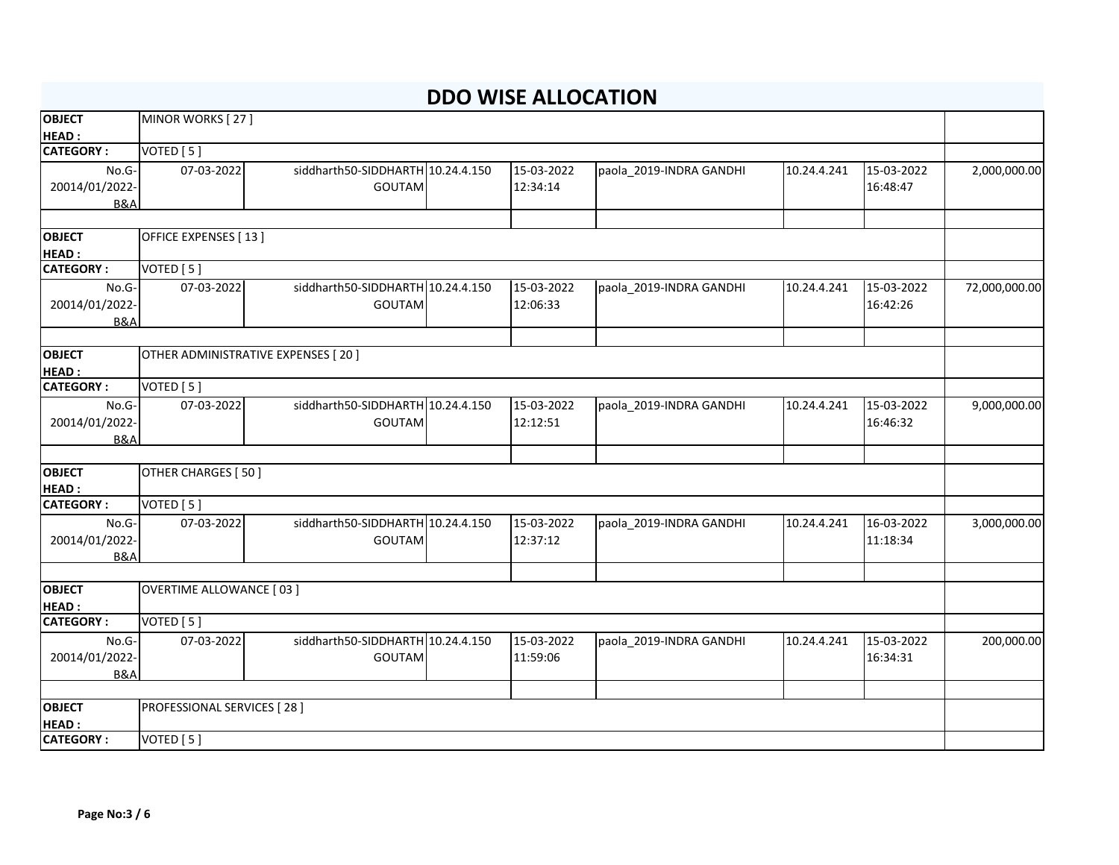| <b>OBJECT</b>                    | MINOR WORKS [27]                     |                                   |              |                         |             |            |               |
|----------------------------------|--------------------------------------|-----------------------------------|--------------|-------------------------|-------------|------------|---------------|
| <b>HEAD:</b>                     |                                      |                                   |              |                         |             |            |               |
| <b>CATEGORY:</b>                 | VOTED [5]                            |                                   |              |                         |             |            |               |
| No.G-                            | 07-03-2022                           | siddharth50-SIDDHARTH 10.24.4.150 | 15-03-2022   | paola_2019-INDRA GANDHI | 10.24.4.241 | 15-03-2022 | 2,000,000.00  |
| 20014/01/2022-                   |                                      | <b>GOUTAM</b>                     | 12:34:14     |                         |             | 16:48:47   |               |
| <b>B&amp;A</b>                   |                                      |                                   |              |                         |             |            |               |
|                                  |                                      |                                   |              |                         |             |            |               |
| <b>OBJECT</b>                    | OFFICE EXPENSES [13]                 |                                   |              |                         |             |            |               |
| <b>HEAD:</b>                     |                                      |                                   |              |                         |             |            |               |
| <b>CATEGORY:</b>                 | VOTED [5]                            |                                   |              |                         |             |            |               |
| No.G-                            | 07-03-2022                           | siddharth50-SIDDHARTH 10.24.4.150 | 15-03-2022   | paola_2019-INDRA GANDHI | 10.24.4.241 | 15-03-2022 | 72,000,000.00 |
| 20014/01/2022-                   |                                      | <b>GOUTAM</b>                     | 12:06:33     |                         |             | 16:42:26   |               |
| <b>B&amp;A</b>                   |                                      |                                   |              |                         |             |            |               |
| <b>OBJECT</b>                    | OTHER ADMINISTRATIVE EXPENSES [ 20 ] |                                   |              |                         |             |            |               |
| <b>HEAD:</b>                     |                                      |                                   |              |                         |             |            |               |
| <b>CATEGORY:</b>                 | VOTED [5]                            |                                   |              |                         |             |            |               |
| No.G-                            | 07-03-2022                           | siddharth50-SIDDHARTH 10.24.4.150 | 15-03-2022   | paola_2019-INDRA GANDHI | 10.24.4.241 | 15-03-2022 | 9,000,000.00  |
| 20014/01/2022-                   |                                      | <b>GOUTAM</b>                     | 12:12:51     |                         |             | 16:46:32   |               |
| <b>B&amp;A</b>                   |                                      |                                   |              |                         |             |            |               |
|                                  |                                      |                                   |              |                         |             |            |               |
| <b>OBJECT</b>                    | OTHER CHARGES [ 50 ]                 |                                   |              |                         |             |            |               |
| HEAD:                            |                                      |                                   |              |                         |             |            |               |
| <b>CATEGORY:</b>                 | VOTED [5]                            |                                   |              |                         |             |            |               |
| No.G-                            | 07-03-2022                           | siddharth50-SIDDHARTH 10.24.4.150 | $15-03-2022$ | paola_2019-INDRA GANDHI | 10.24.4.241 | 16-03-2022 | 3,000,000.00  |
| 20014/01/2022-                   |                                      | <b>GOUTAM</b>                     | 12:37:12     |                         |             | 11:18:34   |               |
| <b>B&amp;A</b>                   |                                      |                                   |              |                         |             |            |               |
|                                  |                                      |                                   |              |                         |             |            |               |
| <b>OBJECT</b>                    | <b>OVERTIME ALLOWANCE [03]</b>       |                                   |              |                         |             |            |               |
| <b>HEAD:</b><br><b>CATEGORY:</b> |                                      |                                   |              |                         |             |            |               |
|                                  | VOTED [5]                            |                                   |              |                         |             |            |               |
| No.G-                            | 07-03-2022                           | siddharth50-SIDDHARTH 10.24.4.150 | 15-03-2022   | paola_2019-INDRA GANDHI | 10.24.4.241 | 15-03-2022 | 200,000.00    |
| 20014/01/2022-<br><b>B&amp;A</b> |                                      | <b>GOUTAM</b>                     | 11:59:06     |                         |             | 16:34:31   |               |
|                                  |                                      |                                   |              |                         |             |            |               |
| <b>OBJECT</b>                    | PROFESSIONAL SERVICES [28]           |                                   |              |                         |             |            |               |
| HEAD:                            |                                      |                                   |              |                         |             |            |               |
| <b>CATEGORY:</b>                 | VOTED [5]                            |                                   |              |                         |             |            |               |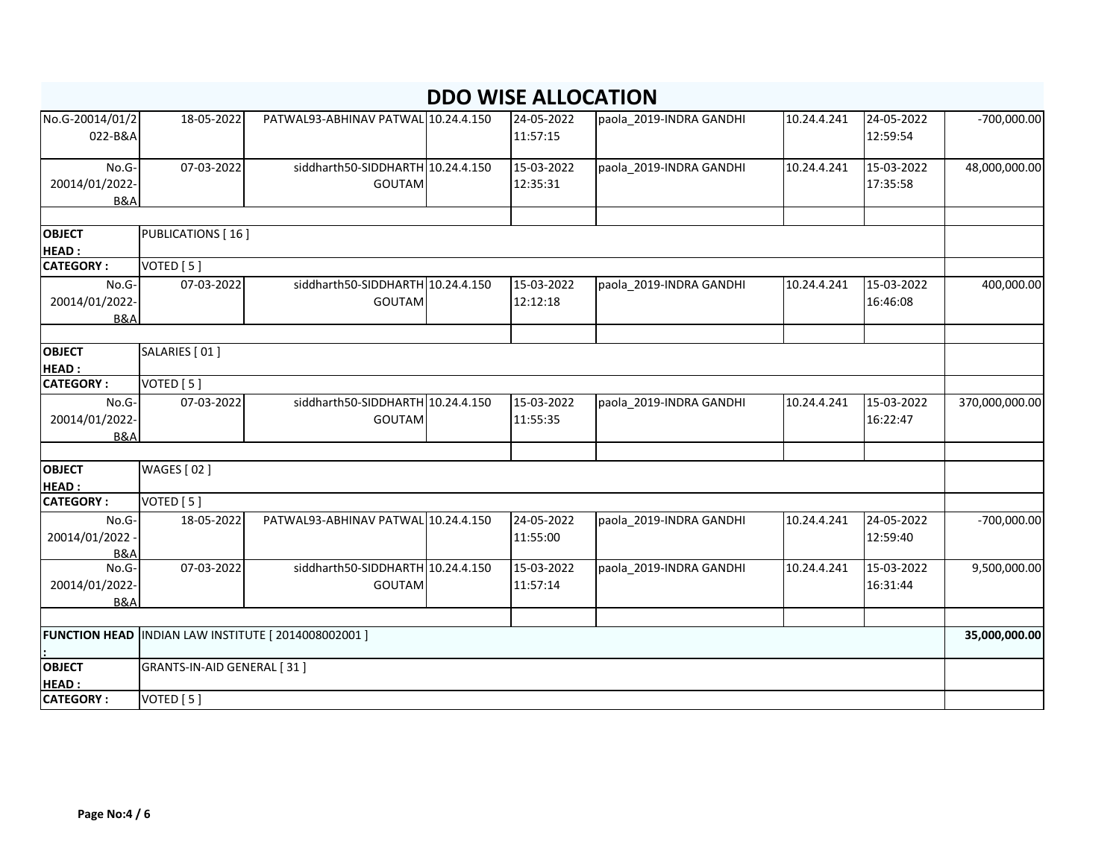| No.G-20014/01/2<br>022-B&A       | 18-05-2022                 | PATWAL93-ABHINAV PATWAL 10.24.4.150                        | 24-05-2022<br>11:57:15 | paola_2019-INDRA GANDHI | 10.24.4.241 | 24-05-2022<br>12:59:54 | $-700,000.00$  |
|----------------------------------|----------------------------|------------------------------------------------------------|------------------------|-------------------------|-------------|------------------------|----------------|
| No.G-                            | 07-03-2022                 | siddharth50-SIDDHARTH 10.24.4.150                          | 15-03-2022             | paola 2019-INDRA GANDHI | 10.24.4.241 | 15-03-2022             | 48,000,000.00  |
| 20014/01/2022-<br><b>B&amp;A</b> |                            | <b>GOUTAM</b>                                              | 12:35:31               |                         |             | 17:35:58               |                |
|                                  |                            |                                                            |                        |                         |             |                        |                |
| <b>OBJECT</b><br><b>HEAD:</b>    | <b>PUBLICATIONS</b> [16]   |                                                            |                        |                         |             |                        |                |
| <b>CATEGORY:</b>                 | VOTED [5]                  |                                                            |                        |                         |             |                        |                |
| No.G-<br>20014/01/2022-          | 07-03-2022                 | siddharth50-SIDDHARTH 10.24.4.150<br><b>GOUTAM</b>         | 15-03-2022<br>12:12:18 | paola_2019-INDRA GANDHI | 10.24.4.241 | 15-03-2022<br>16:46:08 | 400,000.00     |
| <b>B&amp;A</b>                   |                            |                                                            |                        |                         |             |                        |                |
|                                  |                            |                                                            |                        |                         |             |                        |                |
| <b>OBJECT</b><br><b>HEAD:</b>    | SALARIES [ 01 ]            |                                                            |                        |                         |             |                        |                |
| <b>CATEGORY:</b>                 | VOTED [5]                  |                                                            |                        |                         |             |                        |                |
| No.G-<br>20014/01/2022-          | 07-03-2022                 | siddharth50-SIDDHARTH 10.24.4.150<br><b>GOUTAM</b>         | 15-03-2022<br>11:55:35 | paola_2019-INDRA GANDHI | 10.24.4.241 | 15-03-2022<br>16:22:47 | 370,000,000.00 |
| <b>B&amp;A</b>                   |                            |                                                            |                        |                         |             |                        |                |
| <b>OBJECT</b>                    | <b>WAGES</b> [02]          |                                                            |                        |                         |             |                        |                |
| <b>HEAD:</b>                     |                            |                                                            |                        |                         |             |                        |                |
| <b>CATEGORY:</b>                 | VOTED [5]                  |                                                            |                        |                         |             |                        |                |
| No.G-<br>20014/01/2022           | 18-05-2022                 | PATWAL93-ABHINAV PATWAL 10.24.4.150                        | 24-05-2022<br>11:55:00 | paola 2019-INDRA GANDHI | 10.24.4.241 | 24-05-2022<br>12:59:40 | $-700,000.00$  |
| <b>B&amp;A</b>                   |                            |                                                            |                        |                         |             |                        |                |
| No.G-<br>20014/01/2022-          | 07-03-2022                 | siddharth50-SIDDHARTH 10.24.4.150<br><b>GOUTAM</b>         | 15-03-2022<br>11:57:14 | paola 2019-INDRA GANDHI | 10.24.4.241 | 15-03-2022<br>16:31:44 | 9,500,000.00   |
| B&A                              |                            |                                                            |                        |                         |             |                        |                |
|                                  |                            | <b>FUNCTION HEAD  INDIAN LAW INSTITUTE [2014008002001]</b> |                        |                         |             |                        | 35,000,000.00  |
| <b>OBJECT</b>                    | GRANTS-IN-AID GENERAL [31] |                                                            |                        |                         |             |                        |                |
| <b>HEAD:</b>                     |                            |                                                            |                        |                         |             |                        |                |
| <b>CATEGORY:</b>                 | VOTED [5]                  |                                                            |                        |                         |             |                        |                |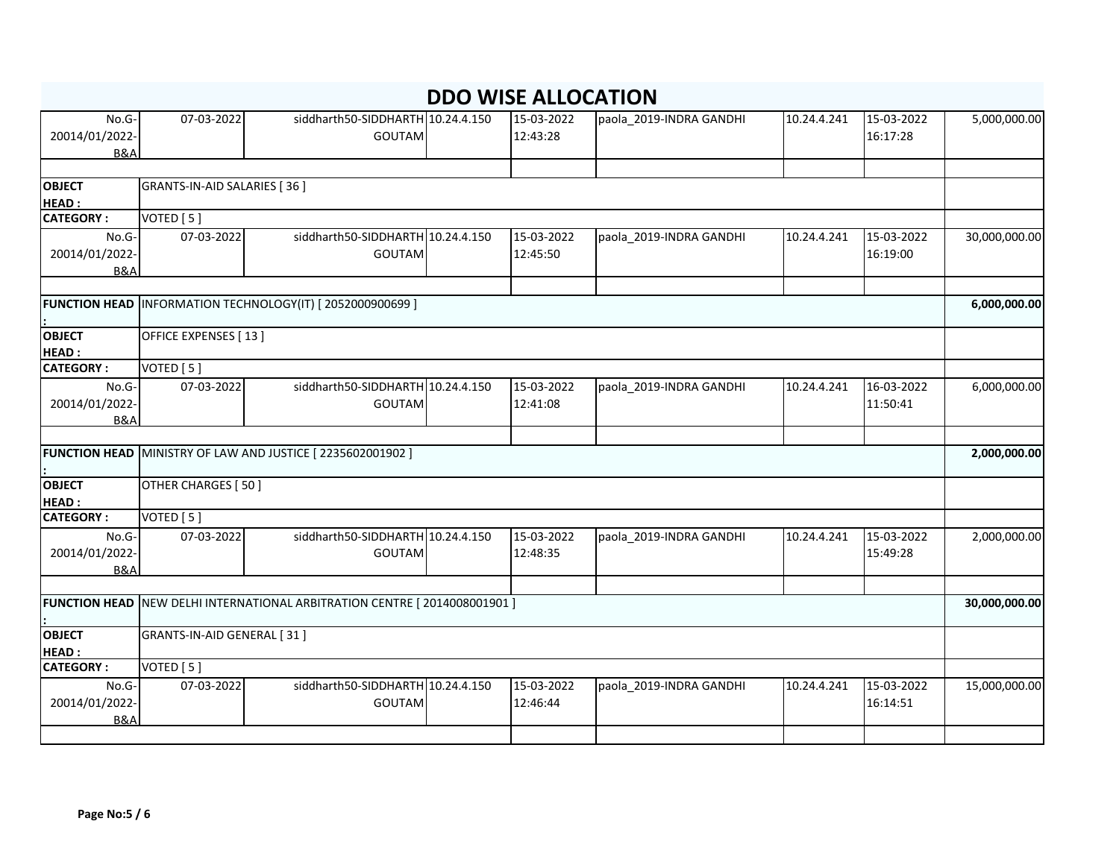| No.G-            | 07-03-2022                  | siddharth50-SIDDHARTH 10.24.4.150                                        | 15-03-2022 | paola_2019-INDRA GANDHI | 10.24.4.241 | 15-03-2022 | 5,000,000.00  |
|------------------|-----------------------------|--------------------------------------------------------------------------|------------|-------------------------|-------------|------------|---------------|
| 20014/01/2022-   |                             | <b>GOUTAM</b>                                                            | 12:43:28   |                         |             | 16:17:28   |               |
| <b>B&amp;A</b>   |                             |                                                                          |            |                         |             |            |               |
|                  |                             |                                                                          |            |                         |             |            |               |
| <b>OBJECT</b>    | GRANTS-IN-AID SALARIES [36] |                                                                          |            |                         |             |            |               |
| <b>HEAD:</b>     |                             |                                                                          |            |                         |             |            |               |
| <b>CATEGORY:</b> | VOTED [5]                   |                                                                          |            |                         |             |            |               |
| No.G-            | 07-03-2022                  | siddharth50-SIDDHARTH 10.24.4.150                                        | 15-03-2022 | paola_2019-INDRA GANDHI | 10.24.4.241 | 15-03-2022 | 30,000,000.00 |
| 20014/01/2022-   |                             | <b>GOUTAM</b>                                                            | 12:45:50   |                         |             | 16:19:00   |               |
| <b>B&amp;A</b>   |                             |                                                                          |            |                         |             |            |               |
|                  |                             |                                                                          |            |                         |             |            |               |
|                  |                             | <b>FUNCTION HEAD INFORMATION TECHNOLOGY(IT) [2052000900699]</b>          |            |                         |             |            | 6,000,000.00  |
| <b>OBJECT</b>    | OFFICE EXPENSES [13]        |                                                                          |            |                         |             |            |               |
| <b>HEAD:</b>     |                             |                                                                          |            |                         |             |            |               |
| <b>CATEGORY:</b> | VOTED [5]                   |                                                                          |            |                         |             |            |               |
| No.G-            | 07-03-2022                  | siddharth50-SIDDHARTH 10.24.4.150                                        | 15-03-2022 | paola_2019-INDRA GANDHI | 10.24.4.241 | 16-03-2022 | 6,000,000.00  |
| 20014/01/2022-   |                             | <b>GOUTAM</b>                                                            | 12:41:08   |                         |             | 11:50:41   |               |
| <b>B&amp;A</b>   |                             |                                                                          |            |                         |             |            |               |
|                  |                             |                                                                          |            |                         |             |            |               |
|                  |                             | FUNCTION HEAD MINISTRY OF LAW AND JUSTICE [2235602001902]                |            |                         |             |            | 2,000,000.00  |
| <b>OBJECT</b>    | OTHER CHARGES [50]          |                                                                          |            |                         |             |            |               |
| <b>HEAD:</b>     |                             |                                                                          |            |                         |             |            |               |
| <b>CATEGORY:</b> | VOTED [5]                   |                                                                          |            |                         |             |            |               |
| No.G-            | 07-03-2022                  | siddharth50-SIDDHARTH 10.24.4.150                                        | 15-03-2022 | paola_2019-INDRA GANDHI | 10.24.4.241 | 15-03-2022 | 2,000,000.00  |
| 20014/01/2022-   |                             | <b>GOUTAM</b>                                                            | 12:48:35   |                         |             | 15:49:28   |               |
| <b>B&amp;A</b>   |                             |                                                                          |            |                         |             |            |               |
|                  |                             |                                                                          |            |                         |             |            |               |
|                  |                             | FUNCTION HEAD NEW DELHI INTERNATIONAL ARBITRATION CENTRE [2014008001901] |            |                         |             |            | 30,000,000.00 |
| <b>OBJECT</b>    | GRANTS-IN-AID GENERAL [31]  |                                                                          |            |                         |             |            |               |
| <b>HEAD:</b>     |                             |                                                                          |            |                         |             |            |               |
| <b>CATEGORY:</b> | VOTED [5]                   |                                                                          |            |                         |             |            |               |
|                  | 07-03-2022                  | siddharth50-SIDDHARTH 10.24.4.150                                        | 15-03-2022 |                         |             | 15-03-2022 |               |
| No.G-            |                             |                                                                          |            | paola_2019-INDRA GANDHI | 10.24.4.241 |            | 15,000,000.00 |
| 20014/01/2022-   |                             | <b>GOUTAM</b>                                                            | 12:46:44   |                         |             | 16:14:51   |               |
| <b>B&amp;A</b>   |                             |                                                                          |            |                         |             |            |               |
|                  |                             |                                                                          |            |                         |             |            |               |